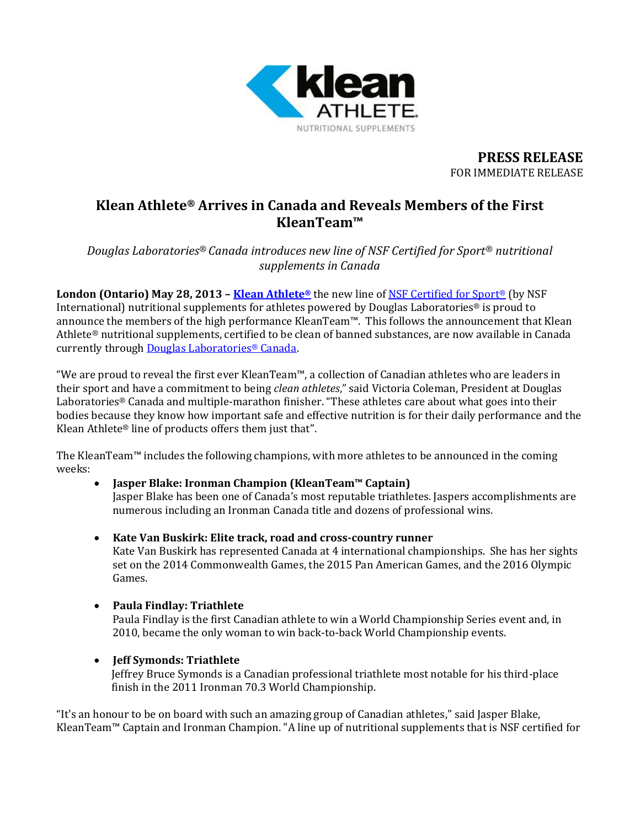

**PRESS RELEASE** FOR IMMEDIATE RELEASE

# **Klean Athlete® Arrives in Canada and Reveals Members of the First KleanTeam™**

*Douglas Laboratories® Canada introduces new line of NSF Certified for Sport® nutritional supplements in Canada*

**London (Ontario) May 28, 2013 – [Klean Athlete](http://kleanathlete.ca/)®** the new line o[f NSF Certified for Sport](http://www.nsfsport.com/)® (by NSF International) nutritional supplements for athletes powered by Douglas Laboratories® is proud to announce the members of the high performance KleanTeam™. This follows the announcement that Klean Athlete® nutritional supplements, certified to be clean of banned substances, are now available in Canada currently throug[h Douglas Laboratories](http://douglaslabs.ca/about-dl.cfm)® Canada.

"We are proud to reveal the first ever KleanTeam™, a collection of Canadian athletes who are leaders in their sport and have a commitment to being *clean athletes*," said Victoria Coleman, President at Douglas Laboratories® Canada and multiple-marathon finisher. "These athletes care about what goes into their bodies because they know how important safe and effective nutrition is for their daily performance and the Klean Athlete® line of products offers them just that".

The KleanTeam™ includes the following champions, with more athletes to be announced in the coming weeks:

- **Jasper Blake: Ironman Champion (KleanTeam™ Captain)** Jasper Blake has been one of Canada's most reputable triathletes. Jaspers accomplishments are numerous including an Ironman Canada title and dozens of professional wins.
- **Kate Van Buskirk: Elite track, road and cross-country runner**  Kate Van Buskirk has represented Canada at 4 international championships. She has her sights set on the 2014 Commonwealth Games, the 2015 Pan American Games, and the 2016 Olympic Games.
- **Paula Findlay: Triathlete**

Paula Findlay is the first Canadian athlete to win a World Championship Series event and, in 2010, became the only woman to win back-to-back World Championship events.

**Jeff Symonds: Triathlete**

Jeffrey Bruce Symonds is a Canadian professional triathlete most notable for his third-place finish in the 2011 Ironman 70.3 World Championship.

"It's an honour to be on board with such an amazing group of Canadian athletes," said Jasper Blake, KleanTeam™ Captain and Ironman Champion. "A line up of nutritional supplements that is NSF certified for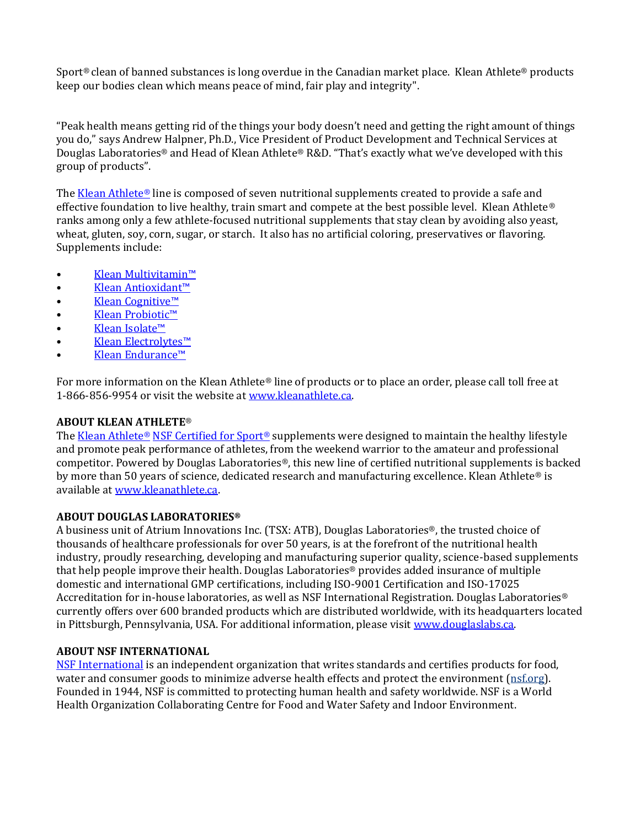Sport® clean of banned substances is long overdue in the Canadian market place. Klean Athlete® products keep our bodies clean which means peace of mind, fair play and integrity".

"Peak health means getting rid of the things your body doesn't need and getting the right amount of things you do," says Andrew Halpner, Ph.D., Vice President of Product Development and Technical Services at Douglas Laboratories® and Head of Klean Athlete® R&D. "That's exactly what we've developed with this group of products".

The [Klean Athlete](http://www.kleanathlete.ca/)® line is composed of seven nutritional supplements created to provide a safe and effective foundation to live healthy, train smart and compete at the best possible level. Klean Athlete® ranks among only a few athlete-focused nutritional supplements that stay clean by avoiding also yeast, wheat, gluten, soy, corn, sugar, or starch. It also has no artificial coloring, preservatives or flavoring. Supplements include:

- [Klean Multi](http://www.kleanathlete.ca/products/multivitamins/klean-multivitamin/)vitamin™
- [Klean Antioxidant™](http://www.kleanathlete.ca/products/antioxidants/klean-antioxidant/)
- [Klean Cognitive™](http://www.kleanathlete.ca/products/neurological/klean-cognitive/)
- [Klean Probiotic™](http://www.kleanathlete.ca/products/probiotic/klean-probiotic/)
- [Klean Isolate™](http://www.kleanathlete.ca/products/protein/klean-isolate/)
- [Klean Electrolytes™](http://www.kleanathlete.ca/products/electrolyte-replacement/klean-electrolytes/)
- [Klean Endurance™](http://www.kleanathlete.ca/products/energy/klean-endurance/)

For more information on the Klean Athlete® line of products or to place an order, please call toll free at 1-866-856-9954 or visit the website at [www.kleanathlete.ca.](http://www.kleanathlete.ca/) 

## **ABOUT KLEAN ATHLETE**®

The [Klean Athlete](http://www.kleanathlete.ca/)® [NSF Certified for Sport](http://www.nsfsport.com/)® supplements were designed to maintain the healthy lifestyle and promote peak performance of athletes, from the weekend warrior to the amateur and professional competitor. Powered by Douglas Laboratories®, this new line of certified nutritional supplements is backed by more than 50 years of science, dedicated research and manufacturing excellence. Klean Athlete® is available at [www.kleanathlete.ca.](http://www.kleanathlete.ca/)

### **ABOUT DOUGLAS LABORATORIES®**

A business unit of Atrium Innovations Inc. (TSX: ATB), Douglas Laboratories®, the trusted choice of thousands of healthcare professionals for over 50 years, is at the forefront of the nutritional health industry, proudly researching, developing and manufacturing superior quality, science-based supplements that help people improve their health. Douglas Laboratories® provides added insurance of multiple domestic and international GMP certifications, including ISO-9001 Certification and ISO-17025 Accreditation for in-house laboratories, as well as NSF International Registration. Douglas Laboratories® currently offers over 600 branded products which are distributed worldwide, with its headquarters located in Pittsburgh, Pennsylvania, USA. For additional information, please visit [www.douglaslabs.ca.](http://www.douglaslabs.ca/)

### **ABOUT NSF INTERNATIONAL**

[NSF International](http://www.nsf.org/) is an independent organization that writes standards and certifies products for food, water and consumer goods to minimize adverse health effects and protect the environment [\(nsf.org\)](http://www.nsf.org/). Founded in 1944, NSF is committed to protecting human health and safety worldwide. NSF is a World Health Organization Collaborating Centre for Food and Water Safety and Indoor Environment.